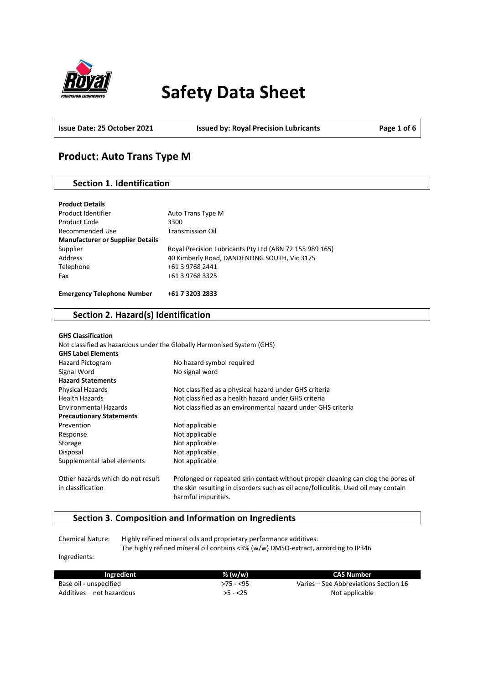

# **Safety Data Sheet**

**Issue Date: 25 October 2021 Issued by: Royal Precision Lubricants Page 1 of 6**

# **Product: Auto Trans Type M**

# **Section 1. Identification**

| <b>Product Details</b>                  |                                                         |
|-----------------------------------------|---------------------------------------------------------|
| Product Identifier                      | Auto Trans Type M                                       |
| Product Code                            | 3300                                                    |
| Recommended Use                         | <b>Transmission Oil</b>                                 |
| <b>Manufacturer or Supplier Details</b> |                                                         |
| Supplier                                | Royal Precision Lubricants Pty Ltd (ABN 72 155 989 165) |
| Address                                 | 40 Kimberly Road, DANDENONG SOUTH, Vic 3175             |
| Telephone                               | +61 3 9768 2441                                         |
| Fax                                     | +61 3 9768 3325                                         |
|                                         |                                                         |
| <b>Emergency Telephone Number</b>       | +61 7 3203 2833                                         |

## **Section 2. Hazard(s) Identification**

| <b>GHS Classification</b>         |                                                                                                            |
|-----------------------------------|------------------------------------------------------------------------------------------------------------|
|                                   | Not classified as hazardous under the Globally Harmonised System (GHS)                                     |
| <b>GHS Label Elements</b>         |                                                                                                            |
| Hazard Pictogram                  | No hazard symbol required                                                                                  |
| Signal Word                       | No signal word                                                                                             |
| <b>Hazard Statements</b>          |                                                                                                            |
| Physical Hazards                  | Not classified as a physical hazard under GHS criteria                                                     |
| <b>Health Hazards</b>             | Not classified as a health hazard under GHS criteria                                                       |
| <b>Environmental Hazards</b>      | Not classified as an environmental hazard under GHS criteria                                               |
| <b>Precautionary Statements</b>   |                                                                                                            |
| Prevention                        | Not applicable                                                                                             |
| Response                          | Not applicable                                                                                             |
| Storage                           | Not applicable                                                                                             |
| Disposal                          | Not applicable                                                                                             |
| Supplemental label elements       | Not applicable                                                                                             |
| Other hazards which do not result | Prolonged or repeated skin contact without proper cleaning can clog the pores of                           |
| in classification                 | the skin resulting in disorders such as oil acne/folliculitis. Used oil may contain<br>harmful impurities. |

# **Section 3. Composition and Information on Ingredients**

Chemical Nature: Highly refined mineral oils and proprietary performance additives. The highly refined mineral oil contains <3% (w/w) DMSO-extract, according to IP346

Ingredients:

| Ingredient                | $%$ (w/w)  | CAS Number                            |
|---------------------------|------------|---------------------------------------|
| Base oil - unspecified    | $>75 - 55$ | Varies – See Abbreviations Section 16 |
| Additives – not hazardous | $>5 - 25$  | Not applicable                        |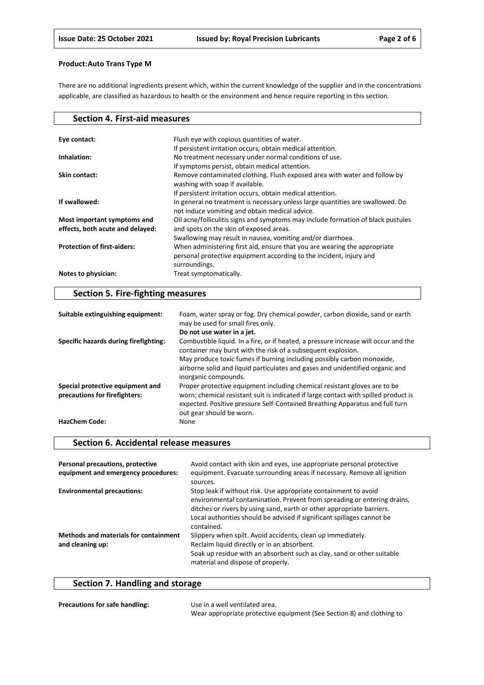There are no additional ingredients present which, within the current knowledge of the supplier and in the concentrations applicable, are classified as hazardous to health or the environment and hence require reporting in this section.

| <b>Section 4. First-aid measures</b>                            |                                                                                                                                                                   |
|-----------------------------------------------------------------|-------------------------------------------------------------------------------------------------------------------------------------------------------------------|
|                                                                 |                                                                                                                                                                   |
| Eye contact:                                                    | Flush eye with copious quantities of water.                                                                                                                       |
|                                                                 | If persistent irritation occurs, obtain medical attention.                                                                                                        |
| Inhalation:                                                     | No treatment necessary under normal conditions of use.                                                                                                            |
|                                                                 | If symptoms persist, obtain medical attention.                                                                                                                    |
| Skin contact:                                                   | Remove contaminated clothing. Flush exposed area with water and follow by<br>washing with soap if available.                                                      |
|                                                                 | If persistent irritation occurs, obtain medical attention.                                                                                                        |
| If swallowed:                                                   | In general no treatment is necessary unless large quantities are swallowed. Do<br>not induce vomiting and obtain medical advice.                                  |
| Most important symptoms and<br>effects, both acute and delayed: | Oil acne/folliculitis signs and symptoms may include formation of black pustules<br>and spots on the skin of exposed areas.                                       |
|                                                                 | Swallowing may result in nausea, vomiting and/or diarrhoea.                                                                                                       |
| <b>Protection of first-aiders:</b>                              | When administering first aid, ensure that you are wearing the appropriate<br>personal protective equipment according to the incident, injury and<br>surroundings. |
| Notes to physician:                                             | Treat symptomatically.                                                                                                                                            |

# **Section 5. Fire-fighting measures**

| Suitable extinguishing equipment:                                 | Foam, water spray or fog. Dry chemical powder, carbon dioxide, sand or earth<br>may be used for small fires only.                                                                                                                                                                                              |
|-------------------------------------------------------------------|----------------------------------------------------------------------------------------------------------------------------------------------------------------------------------------------------------------------------------------------------------------------------------------------------------------|
|                                                                   | Do not use water in a jet.                                                                                                                                                                                                                                                                                     |
| Specific hazards during firefighting:                             | Combustible liquid. In a fire, or if heated, a pressure increase will occur and the<br>container may burst with the risk of a subsequent explosion.<br>May produce toxic fumes if burning including possibly carbon monoxide,<br>airborne solid and liquid particulates and gases and unidentified organic and |
|                                                                   | inorganic compounds.                                                                                                                                                                                                                                                                                           |
| Special protective equipment and<br>precautions for firefighters: | Proper protective equipment including chemical resistant gloves are to be<br>worn; chemical resistant suit is indicated if large contact with spilled product is<br>expected. Positive pressure Self-Contained Breathing Apparatus and full turn<br>out gear should be worn.                                   |
| <b>HazChem Code:</b>                                              | None                                                                                                                                                                                                                                                                                                           |

### **Section 6. Accidental release measures**

| Personal precautions, protective<br>equipment and emergency procedures: | Avoid contact with skin and eyes, use appropriate personal protective<br>equipment. Evacuate surrounding areas if necessary. Remove all ignition<br>sources.                                                                                                                                                |
|-------------------------------------------------------------------------|-------------------------------------------------------------------------------------------------------------------------------------------------------------------------------------------------------------------------------------------------------------------------------------------------------------|
| <b>Environmental precautions:</b>                                       | Stop leak if without risk. Use appropriate containment to avoid<br>environmental contamination. Prevent from spreading or entering drains,<br>ditches or rivers by using sand, earth or other appropriate barriers.<br>Local authorities should be advised if significant spillages cannot be<br>contained. |
| <b>Methods and materials for containment</b><br>and cleaning up:        | Slippery when spilt. Avoid accidents, clean up immediately.<br>Reclaim liquid directly or in an absorbent.<br>Soak up residue with an absorbent such as clay, sand or other suitable<br>material and dispose of properly.                                                                                   |

# **Section 7. Handling and storage**

| <b>Precautions for safe handling:</b> | Use in a well ventilated area.                                        |
|---------------------------------------|-----------------------------------------------------------------------|
|                                       | Wear appropriate protective equipment (See Section 8) and clothing to |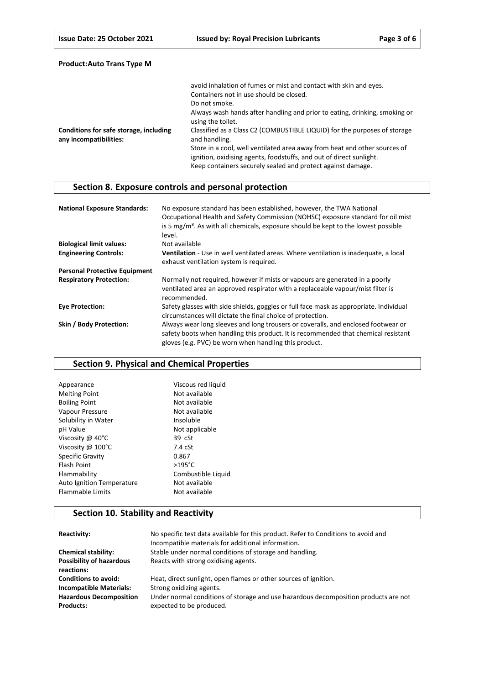|                                                                  | avoid inhalation of fumes or mist and contact with skin and eyes.                                                                                                                                               |
|------------------------------------------------------------------|-----------------------------------------------------------------------------------------------------------------------------------------------------------------------------------------------------------------|
|                                                                  | Containers not in use should be closed.                                                                                                                                                                         |
|                                                                  | Do not smoke.                                                                                                                                                                                                   |
|                                                                  | Always wash hands after handling and prior to eating, drinking, smoking or<br>using the toilet.                                                                                                                 |
| Conditions for safe storage, including<br>any incompatibilities: | Classified as a Class C2 (COMBUSTIBLE LIQUID) for the purposes of storage<br>and handling.                                                                                                                      |
|                                                                  | Store in a cool, well ventilated area away from heat and other sources of<br>ignition, oxidising agents, foodstuffs, and out of direct sunlight.<br>Keep containers securely sealed and protect against damage. |

# **Section 8. Exposure controls and personal protection**

| <b>National Exposure Standards:</b>  | No exposure standard has been established, however, the TWA National<br>Occupational Health and Safety Commission (NOHSC) exposure standard for oil mist<br>is 5 $mg/m3$ . As with all chemicals, exposure should be kept to the lowest possible<br>level. |
|--------------------------------------|------------------------------------------------------------------------------------------------------------------------------------------------------------------------------------------------------------------------------------------------------------|
| <b>Biological limit values:</b>      | Not available                                                                                                                                                                                                                                              |
| <b>Engineering Controls:</b>         | Ventilation - Use in well ventilated areas. Where ventilation is inadequate, a local<br>exhaust ventilation system is required.                                                                                                                            |
| <b>Personal Protective Equipment</b> |                                                                                                                                                                                                                                                            |
| <b>Respiratory Protection:</b>       | Normally not required, however if mists or vapours are generated in a poorly<br>ventilated area an approved respirator with a replaceable vapour/mist filter is<br>recommended.                                                                            |
| <b>Eve Protection:</b>               | Safety glasses with side shields, goggles or full face mask as appropriate. Individual<br>circumstances will dictate the final choice of protection.                                                                                                       |
| Skin / Body Protection:              | Always wear long sleeves and long trousers or coveralls, and enclosed footwear or<br>safety boots when handling this product. It is recommended that chemical resistant<br>gloves (e.g. PVC) be worn when handling this product.                           |

## **Section 9. Physical and Chemical Properties**

| Not available      |
|--------------------|
| Not available      |
| Not available      |
|                    |
| Not applicable     |
|                    |
|                    |
|                    |
|                    |
| Combustible Liquid |
| Not available      |
| Not available      |
|                    |

# **Section 10. Stability and Reactivity**

| Reactivity:                                        | No specific test data available for this product. Refer to Conditions to avoid and<br>Incompatible materials for additional information. |
|----------------------------------------------------|------------------------------------------------------------------------------------------------------------------------------------------|
| <b>Chemical stability:</b>                         | Stable under normal conditions of storage and handling.                                                                                  |
| <b>Possibility of hazardous</b><br>reactions:      | Reacts with strong oxidising agents.                                                                                                     |
| <b>Conditions to avoid:</b>                        | Heat, direct sunlight, open flames or other sources of ignition.                                                                         |
| <b>Incompatible Materials:</b>                     | Strong oxidizing agents.                                                                                                                 |
| <b>Hazardous Decomposition</b><br><b>Products:</b> | Under normal conditions of storage and use hazardous decomposition products are not<br>expected to be produced.                          |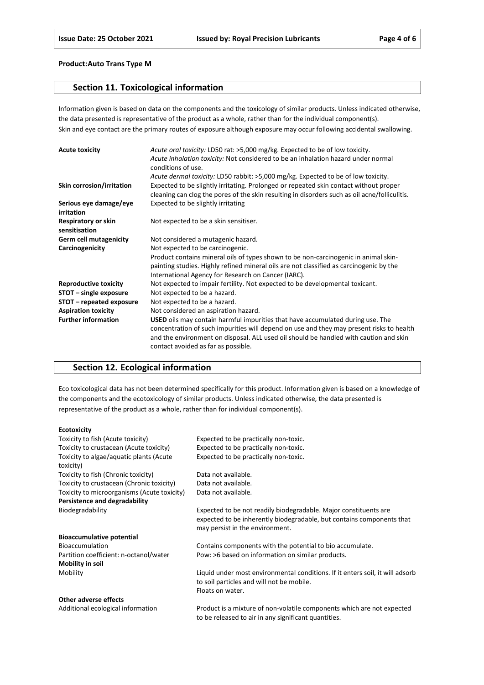### **Section 11. Toxicological information**

Information given is based on data on the components and the toxicology of similar products. Unless indicated otherwise, the data presented is representative of the product as a whole, rather than for the individual component(s). Skin and eye contact are the primary routes of exposure although exposure may occur following accidental swallowing.

| <b>Acute toxicity</b>                | Acute oral toxicity: LD50 rat: >5,000 mg/kg. Expected to be of low toxicity.<br>Acute inhalation toxicity: Not considered to be an inhalation hazard under normal<br>conditions of use.                                                                                                                           |
|--------------------------------------|-------------------------------------------------------------------------------------------------------------------------------------------------------------------------------------------------------------------------------------------------------------------------------------------------------------------|
|                                      | Acute dermal toxicity: LD50 rabbit: >5,000 mg/kg. Expected to be of low toxicity.                                                                                                                                                                                                                                 |
| Skin corrosion/irritation            | Expected to be slightly irritating. Prolonged or repeated skin contact without proper<br>cleaning can clog the pores of the skin resulting in disorders such as oil acne/folliculitis.                                                                                                                            |
| Serious eye damage/eye<br>irritation | Expected to be slightly irritating                                                                                                                                                                                                                                                                                |
| Respiratory or skin<br>sensitisation | Not expected to be a skin sensitiser.                                                                                                                                                                                                                                                                             |
| <b>Germ cell mutagenicity</b>        | Not considered a mutagenic hazard.                                                                                                                                                                                                                                                                                |
| Carcinogenicity                      | Not expected to be carcinogenic.                                                                                                                                                                                                                                                                                  |
|                                      | Product contains mineral oils of types shown to be non-carcinogenic in animal skin-<br>painting studies. Highly refined mineral oils are not classified as carcinogenic by the<br>International Agency for Research on Cancer (IARC).                                                                             |
| <b>Reproductive toxicity</b>         | Not expected to impair fertility. Not expected to be developmental toxicant.                                                                                                                                                                                                                                      |
| STOT - single exposure               | Not expected to be a hazard.                                                                                                                                                                                                                                                                                      |
| STOT – repeated exposure             | Not expected to be a hazard.                                                                                                                                                                                                                                                                                      |
| <b>Aspiration toxicity</b>           | Not considered an aspiration hazard.                                                                                                                                                                                                                                                                              |
| <b>Further information</b>           | <b>USED</b> oils may contain harmful impurities that have accumulated during use. The<br>concentration of such impurities will depend on use and they may present risks to health<br>and the environment on disposal. ALL used oil should be handled with caution and skin<br>contact avoided as far as possible. |

## **Section 12. Ecological information**

Eco toxicological data has not been determined specifically for this product. Information given is based on a knowledge of the components and the ecotoxicology of similar products. Unless indicated otherwise, the data presented is representative of the product as a whole, rather than for individual component(s).

#### **Ecotoxicity**

| Toxicity to fish (Acute toxicity)           | Expected to be practically non-toxic.                                         |
|---------------------------------------------|-------------------------------------------------------------------------------|
| Toxicity to crustacean (Acute toxicity)     | Expected to be practically non-toxic.                                         |
| Toxicity to algae/aquatic plants (Acute     | Expected to be practically non-toxic.                                         |
| toxicity)                                   |                                                                               |
| Toxicity to fish (Chronic toxicity)         | Data not available.                                                           |
| Toxicity to crustacean (Chronic toxicity)   | Data not available.                                                           |
| Toxicity to microorganisms (Acute toxicity) | Data not available.                                                           |
| Persistence and degradability               |                                                                               |
| Biodegradability                            | Expected to be not readily biodegradable. Major constituents are              |
|                                             | expected to be inherently biodegradable, but contains components that         |
|                                             | may persist in the environment.                                               |
| <b>Bioaccumulative potential</b>            |                                                                               |
| <b>Bioaccumulation</b>                      | Contains components with the potential to bio accumulate.                     |
| Partition coefficient: n-octanol/water      | Pow: >6 based on information on similar products.                             |
| <b>Mobility in soil</b>                     |                                                                               |
| Mobility                                    | Liquid under most environmental conditions. If it enters soil, it will adsorb |
|                                             | to soil particles and will not be mobile.                                     |
|                                             | Floats on water.                                                              |
| Other adverse effects                       |                                                                               |
| Additional ecological information           | Product is a mixture of non-volatile components which are not expected        |

to be released to air in any significant quantities.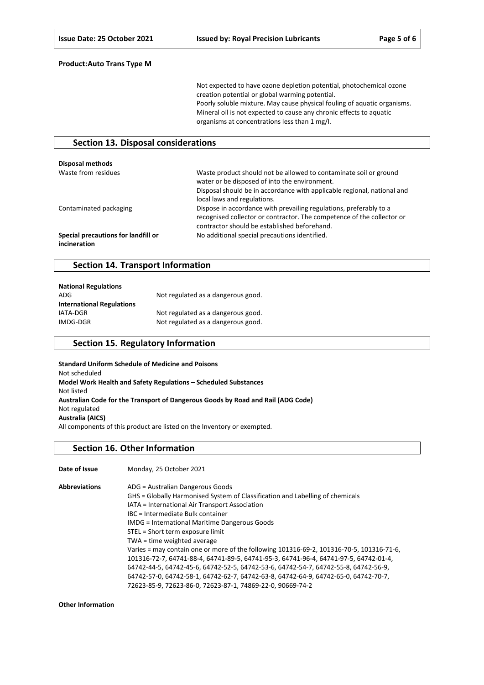Not expected to have ozone depletion potential, photochemical ozone creation potential or global warming potential. Poorly soluble mixture. May cause physical fouling of aquatic organisms. Mineral oil is not expected to cause any chronic effects to aquatic organisms at concentrations less than 1 mg/l.

### **Section 13. Disposal considerations**

| Disposal methods                                    |                                                                                                                                                                                                                              |
|-----------------------------------------------------|------------------------------------------------------------------------------------------------------------------------------------------------------------------------------------------------------------------------------|
| Waste from residues                                 | Waste product should not be allowed to contaminate soil or ground<br>water or be disposed of into the environment.<br>Disposal should be in accordance with applicable regional, national and<br>local laws and regulations. |
| Contaminated packaging                              | Dispose in accordance with prevailing regulations, preferably to a<br>recognised collector or contractor. The competence of the collector or<br>contractor should be established beforehand.                                 |
| Special precautions for landfill or<br>incineration | No additional special precautions identified.                                                                                                                                                                                |

### **Section 14. Transport Information**

| <b>National Regulations</b>      |                                    |
|----------------------------------|------------------------------------|
| ADG                              | Not regulated as a dangerous good. |
| <b>International Regulations</b> |                                    |
| IATA-DGR                         | Not regulated as a dangerous good. |
| IMDG-DGR                         | Not regulated as a dangerous good. |

### **Section 15. Regulatory Information**

**Standard Uniform Schedule of Medicine and Poisons** Not scheduled **Model Work Health and Safety Regulations – Scheduled Substances** Not listed **Australian Code for the Transport of Dangerous Goods by Road and Rail (ADG Code)** Not regulated **Australia (AICS)** All components of this product are listed on the Inventory or exempted.

#### **Section 16. Other Information**

| Date of Issue        | Monday, 25 October 2021                                                                  |
|----------------------|------------------------------------------------------------------------------------------|
| <b>Abbreviations</b> | ADG = Australian Dangerous Goods                                                         |
|                      | GHS = Globally Harmonised System of Classification and Labelling of chemicals            |
|                      | IATA = International Air Transport Association                                           |
|                      | IBC = Intermediate Bulk container                                                        |
|                      | <b>IMDG</b> = International Maritime Dangerous Goods                                     |
|                      | STEL = Short term exposure limit                                                         |
|                      | TWA = time weighted average                                                              |
|                      | Varies = may contain one or more of the following 101316-69-2, 101316-70-5, 101316-71-6, |
|                      | 101316-72-7, 64741-88-4, 64741-89-5, 64741-95-3, 64741-96-4, 64741-97-5, 64742-01-4,     |
|                      | 64742-44-5, 64742-45-6, 64742-52-5, 64742-53-6, 64742-54-7, 64742-55-8, 64742-56-9,      |
|                      | 64742-57-0, 64742-58-1, 64742-62-7, 64742-63-8, 64742-64-9, 64742-65-0, 64742-70-7,      |
|                      | 72623-85-9, 72623-86-0, 72623-87-1, 74869-22-0, 90669-74-2                               |

**Other Information**